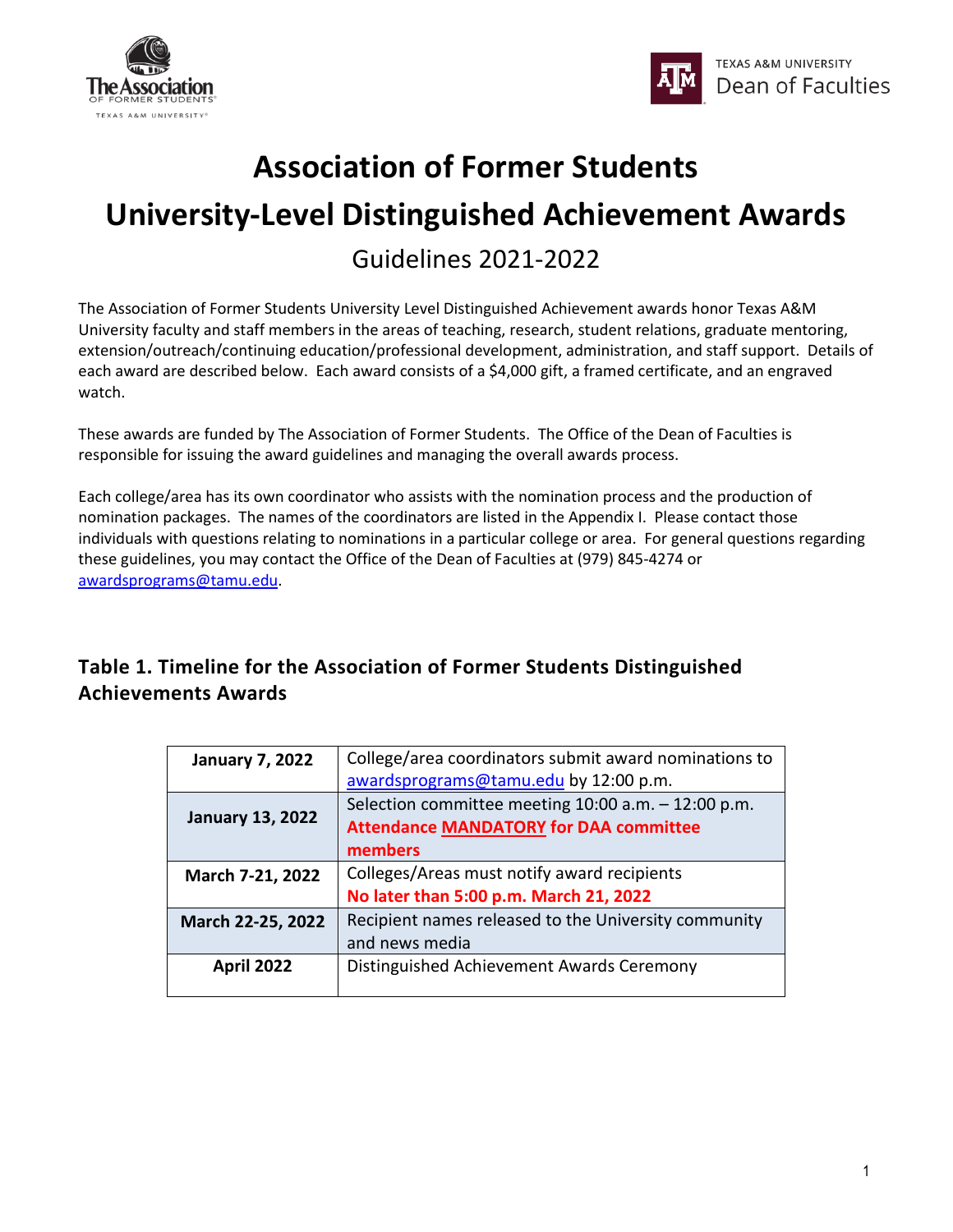



## **Association of Former Students**

# **University-Level Distinguished Achievement Awards**

Guidelines 2021-2022

The Association of Former Students University Level Distinguished Achievement awards honor Texas A&M University faculty and staff members in the areas of teaching, research, student relations, graduate mentoring, extension/outreach/continuing education/professional development, administration, and staff support. Details of each award are described below. Each award consists of a \$4,000 gift, a framed certificate, and an engraved watch.

These awards are funded by The Association of Former Students. The Office of the Dean of Faculties is responsible for issuing the award guidelines and managing the overall awards process.

Each college/area has its own coordinator who assists with the nomination process and the production of nomination packages. The names of the coordinators are listed in the Appendix I. Please contact those individuals with questions relating to nominations in a particular college or area. For general questions regarding these guidelines, you may contact the Office of the Dean of Faculties at (979) 845-4274 or [awardsprograms@tamu.edu.](mailto:awardsprograms@tamu.edu)

## **Table 1. Timeline for the Association of Former Students Distinguished Achievements Awards**

| <b>January 7, 2022</b>  | College/area coordinators submit award nominations to<br>awardsprograms@tamu.edu by 12:00 p.m.                     |
|-------------------------|--------------------------------------------------------------------------------------------------------------------|
| <b>January 13, 2022</b> | Selection committee meeting $10:00$ a.m. $-12:00$ p.m.<br><b>Attendance MANDATORY for DAA committee</b><br>members |
| March 7-21, 2022        | Colleges/Areas must notify award recipients<br>No later than 5:00 p.m. March 21, 2022                              |
| March 22-25, 2022       | Recipient names released to the University community<br>and news media                                             |
| <b>April 2022</b>       | Distinguished Achievement Awards Ceremony                                                                          |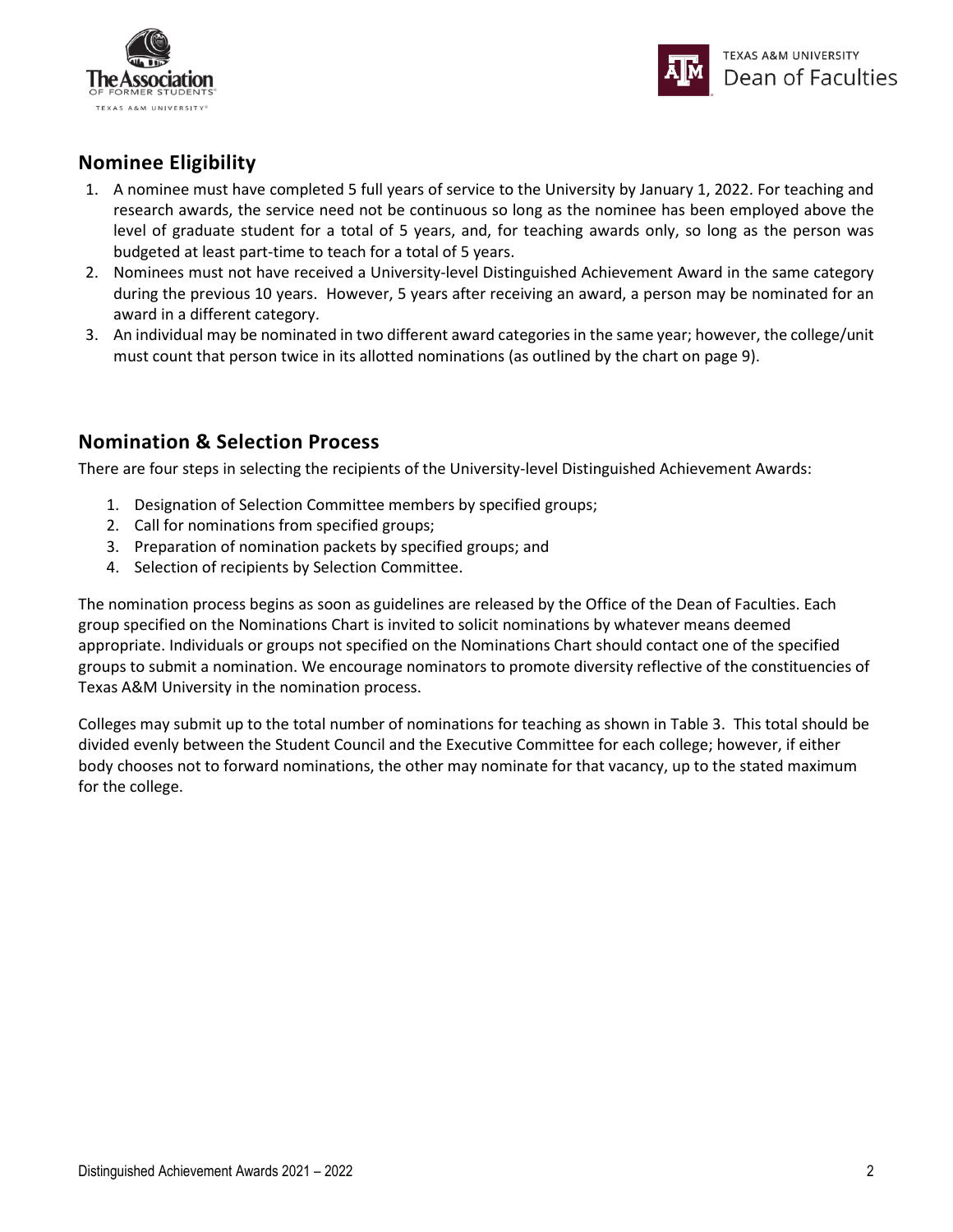



## **Nominee Eligibility**

- 1. A nominee must have completed 5 full years of service to the University by January 1, 2022. For teaching and research awards, the service need not be continuous so long as the nominee has been employed above the level of graduate student for a total of 5 years, and, for teaching awards only, so long as the person was budgeted at least part-time to teach for a total of 5 years.
- 2. Nominees must not have received a University-level Distinguished Achievement Award in the same category during the previous 10 years. However, 5 years after receiving an award, a person may be nominated for an award in a different category.
- 3. An individual may be nominated in two different award categories in the same year; however, the college/unit must count that person twice in its allotted nominations (as outlined by the chart on page 9).

#### **Nomination & Selection Process**

There are four steps in selecting the recipients of the University-level Distinguished Achievement Awards:

- 1. Designation of Selection Committee members by specified groups;
- 2. Call for nominations from specified groups;
- 3. Preparation of nomination packets by specified groups; and
- 4. Selection of recipients by Selection Committee.

The nomination process begins as soon as guidelines are released by the Office of the Dean of Faculties. Each group specified on the Nominations Chart is invited to solicit nominations by whatever means deemed appropriate. Individuals or groups not specified on the Nominations Chart should contact one of the specified groups to submit a nomination. We encourage nominators to promote diversity reflective of the constituencies of Texas A&M University in the nomination process.

Colleges may submit up to the total number of nominations for teaching as shown in Table 3. This total should be divided evenly between the Student Council and the Executive Committee for each college; however, if either body chooses not to forward nominations, the other may nominate for that vacancy, up to the stated maximum for the college.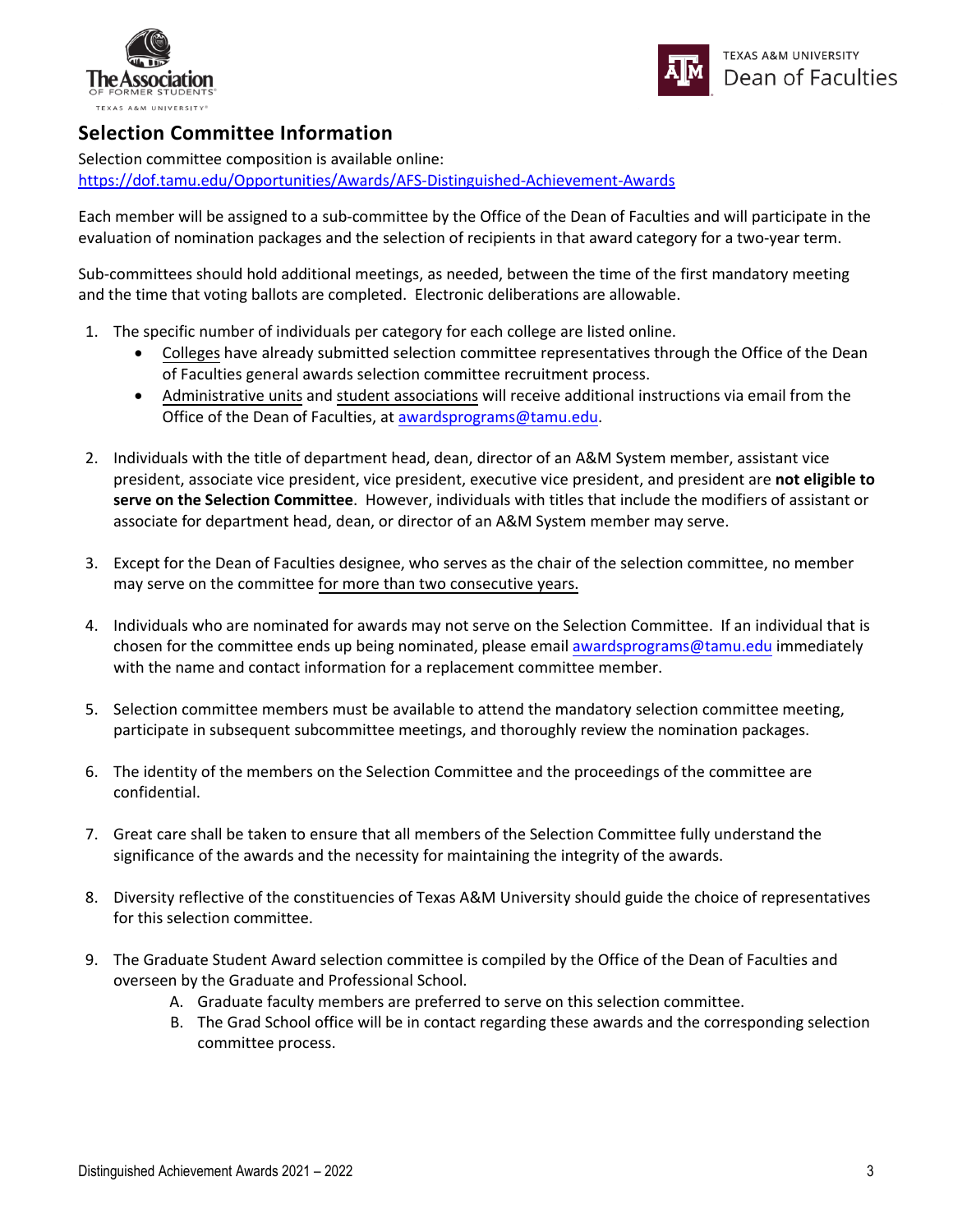



#### **Selection Committee Information**

Selection committee composition is available online: <https://dof.tamu.edu/Opportunities/Awards/AFS-Distinguished-Achievement-Awards>

Each member will be assigned to a sub-committee by the Office of the Dean of Faculties and will participate in the evaluation of nomination packages and the selection of recipients in that award category for a two-year term.

Sub-committees should hold additional meetings, as needed, between the time of the first mandatory meeting and the time that voting ballots are completed. Electronic deliberations are allowable.

- 1. The specific number of individuals per category for each college are listed online.
	- Colleges have already submitted selection committee representatives through the Office of the Dean of Faculties general awards selection committee recruitment process.
	- Administrative units and student associations will receive additional instructions via email from the Office of the Dean of Faculties, at [awardsprograms@tamu.edu.](mailto:awardsprograms@tamu.edu)
- 2. Individuals with the title of department head, dean, director of an A&M System member, assistant vice president, associate vice president, vice president, executive vice president, and president are **not eligible to serve on the Selection Committee**. However, individuals with titles that include the modifiers of assistant or associate for department head, dean, or director of an A&M System member may serve.
- 3. Except for the Dean of Faculties designee, who serves as the chair of the selection committee, no member may serve on the committee for more than two consecutive years.
- 4. Individuals who are nominated for awards may not serve on the Selection Committee. If an individual that is chosen for the committee ends up being nominated, please email awardsprograms[@tamu.edu](mailto:facultyawards@tamu.edu) immediately with the name and contact information for a replacement committee member.
- 5. Selection committee members must be available to attend the mandatory selection committee meeting, participate in subsequent subcommittee meetings, and thoroughly review the nomination packages.
- 6. The identity of the members on the Selection Committee and the proceedings of the committee are confidential.
- 7. Great care shall be taken to ensure that all members of the Selection Committee fully understand the significance of the awards and the necessity for maintaining the integrity of the awards.
- 8. Diversity reflective of the constituencies of Texas A&M University should guide the choice of representatives for this selection committee.
- 9. The Graduate Student Award selection committee is compiled by the Office of the Dean of Faculties and overseen by the Graduate and Professional School.
	- A. Graduate faculty members are preferred to serve on this selection committee.
	- B. The Grad School office will be in contact regarding these awards and the corresponding selection committee process.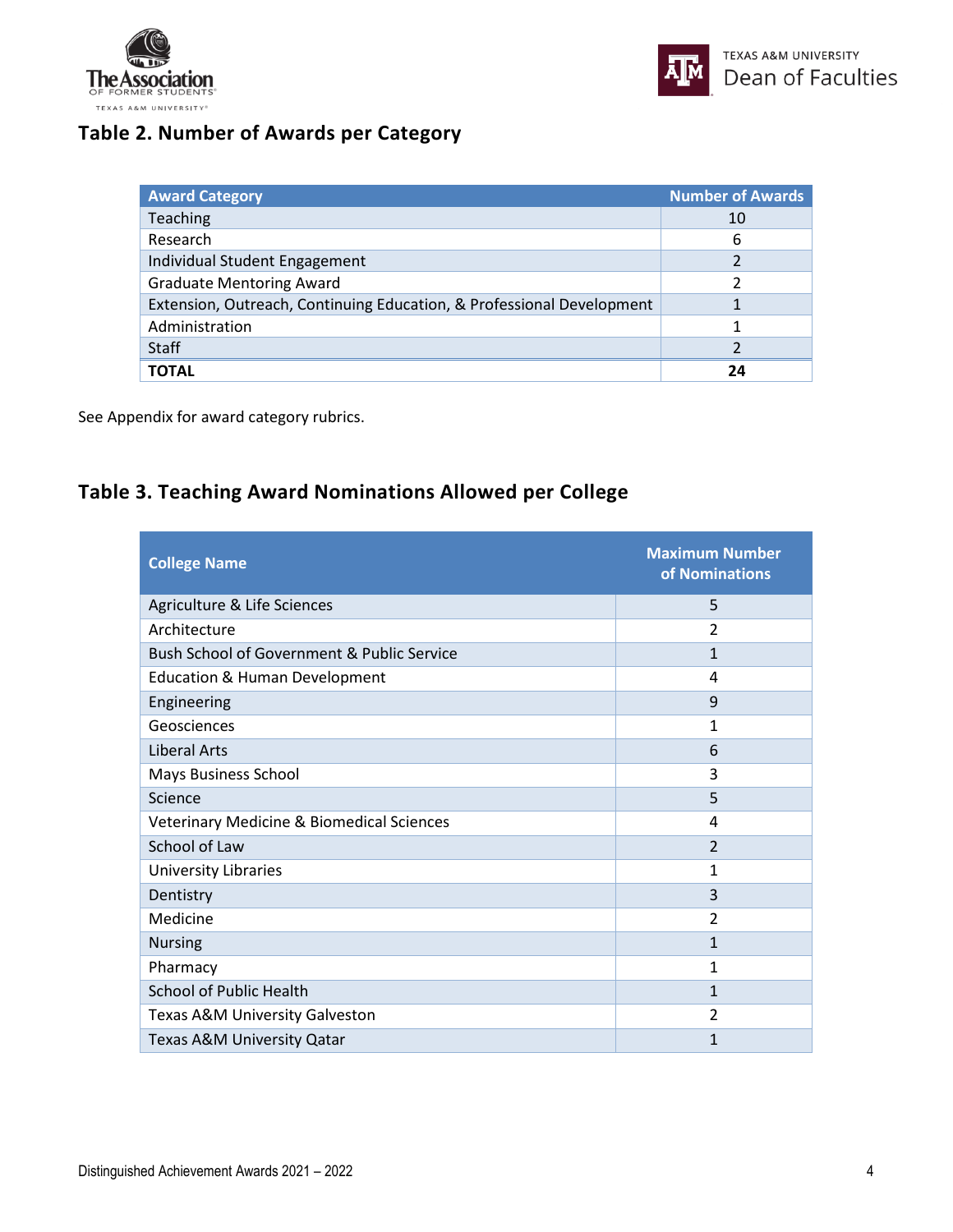



## **Table 2. Number of Awards per Category**

| <b>Award Category</b>                                                 | <b>Number of Awards</b> |
|-----------------------------------------------------------------------|-------------------------|
| Teaching                                                              | 10                      |
| Research                                                              | 6                       |
| Individual Student Engagement                                         |                         |
| <b>Graduate Mentoring Award</b>                                       |                         |
| Extension, Outreach, Continuing Education, & Professional Development |                         |
| Administration                                                        |                         |
| <b>Staff</b>                                                          |                         |
| <b>TOTAL</b>                                                          | 24                      |

See Appendix for award category rubrics.

## **Table 3. Teaching Award Nominations Allowed per College**

| <b>College Name</b>                                  | <b>Maximum Number</b><br>of Nominations |
|------------------------------------------------------|-----------------------------------------|
| Agriculture & Life Sciences                          | 5                                       |
| Architecture                                         | $\overline{2}$                          |
| Bush School of Government & Public Service           | $\mathbf{1}$                            |
| <b>Education &amp; Human Development</b>             | 4                                       |
| Engineering                                          | 9                                       |
| Geosciences                                          | 1                                       |
| <b>Liberal Arts</b>                                  | 6                                       |
| <b>Mays Business School</b>                          | 3                                       |
| Science                                              | 5                                       |
| <b>Veterinary Medicine &amp; Biomedical Sciences</b> | 4                                       |
| School of Law                                        | $\overline{2}$                          |
| University Libraries                                 | 1                                       |
| Dentistry                                            | 3                                       |
| Medicine                                             | $\overline{2}$                          |
| <b>Nursing</b>                                       | $\mathbf{1}$                            |
| Pharmacy                                             | 1                                       |
| <b>School of Public Health</b>                       | $\mathbf{1}$                            |
| Texas A&M University Galveston                       | 2                                       |
| Texas A&M University Qatar                           | 1                                       |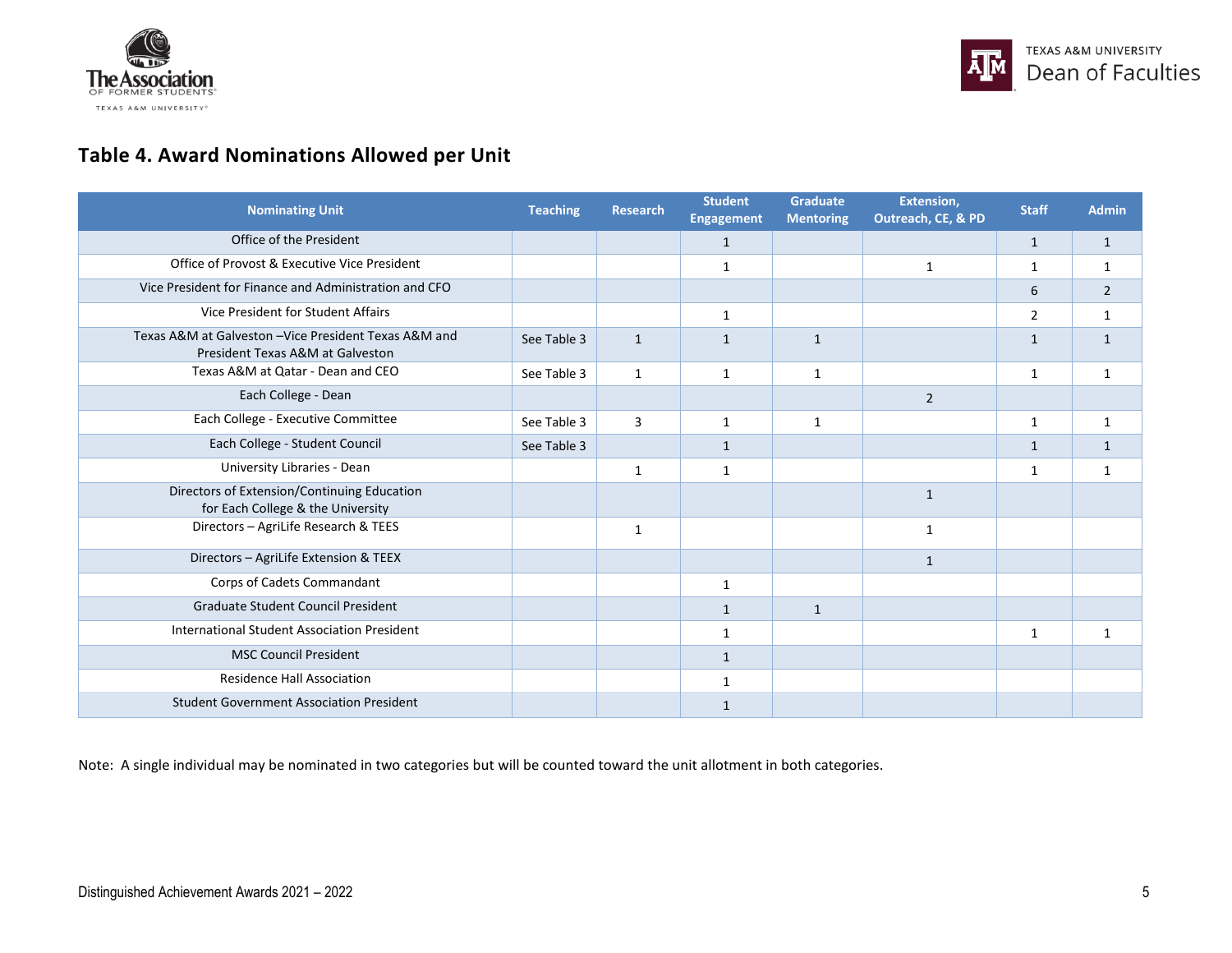



## **Table 4. Award Nominations Allowed per Unit**

| <b>Nominating Unit</b>                                                                    | <b>Teaching</b> | <b>Research</b> | <b>Student</b><br><b>Engagement</b> | <b>Graduate</b><br><b>Mentoring</b> | Extension,<br>Outreach, CE, & PD | <b>Staff</b>   | <b>Admin</b>   |
|-------------------------------------------------------------------------------------------|-----------------|-----------------|-------------------------------------|-------------------------------------|----------------------------------|----------------|----------------|
| Office of the President                                                                   |                 |                 | $\mathbf{1}$                        |                                     |                                  | $\mathbf{1}$   | $\mathbf{1}$   |
| Office of Provost & Executive Vice President                                              |                 |                 | 1                                   |                                     | 1                                | $\mathbf{1}$   | 1              |
| Vice President for Finance and Administration and CFO                                     |                 |                 |                                     |                                     |                                  | 6              | $\overline{2}$ |
| Vice President for Student Affairs                                                        |                 |                 | 1                                   |                                     |                                  | $\overline{2}$ | 1              |
| Texas A&M at Galveston - Vice President Texas A&M and<br>President Texas A&M at Galveston | See Table 3     | $\mathbf{1}$    | $\mathbf{1}$                        | $\mathbf{1}$                        |                                  | $\mathbf{1}$   | $\mathbf{1}$   |
| Texas A&M at Qatar - Dean and CEO                                                         | See Table 3     | $\mathbf{1}$    | 1                                   | $\mathbf{1}$                        |                                  | 1              | $\mathbf{1}$   |
| Each College - Dean                                                                       |                 |                 |                                     |                                     | $\overline{2}$                   |                |                |
| Each College - Executive Committee                                                        | See Table 3     | $\overline{3}$  | $\mathbf{1}$                        | $\mathbf{1}$                        |                                  | $\mathbf{1}$   | $\mathbf{1}$   |
| Each College - Student Council                                                            | See Table 3     |                 | $\mathbf{1}$                        |                                     |                                  | $\mathbf{1}$   | $\mathbf{1}$   |
| University Libraries - Dean                                                               |                 | 1               | $\mathbf{1}$                        |                                     |                                  | 1              | $\mathbf{1}$   |
| Directors of Extension/Continuing Education<br>for Each College & the University          |                 |                 |                                     |                                     | $\mathbf{1}$                     |                |                |
| Directors - AgriLife Research & TEES                                                      |                 | 1               |                                     |                                     | $\mathbf{1}$                     |                |                |
| Directors - AgriLife Extension & TEEX                                                     |                 |                 |                                     |                                     | $\mathbf{1}$                     |                |                |
| Corps of Cadets Commandant                                                                |                 |                 | 1                                   |                                     |                                  |                |                |
| Graduate Student Council President                                                        |                 |                 | $\mathbf{1}$                        | $\mathbf{1}$                        |                                  |                |                |
| International Student Association President                                               |                 |                 | 1                                   |                                     |                                  | 1              | $\mathbf{1}$   |
| <b>MSC Council President</b>                                                              |                 |                 | $\mathbf{1}$                        |                                     |                                  |                |                |
| <b>Residence Hall Association</b>                                                         |                 |                 | 1                                   |                                     |                                  |                |                |
| <b>Student Government Association President</b>                                           |                 |                 | 1                                   |                                     |                                  |                |                |

Note: A single individual may be nominated in two categories but will be counted toward the unit allotment in both categories.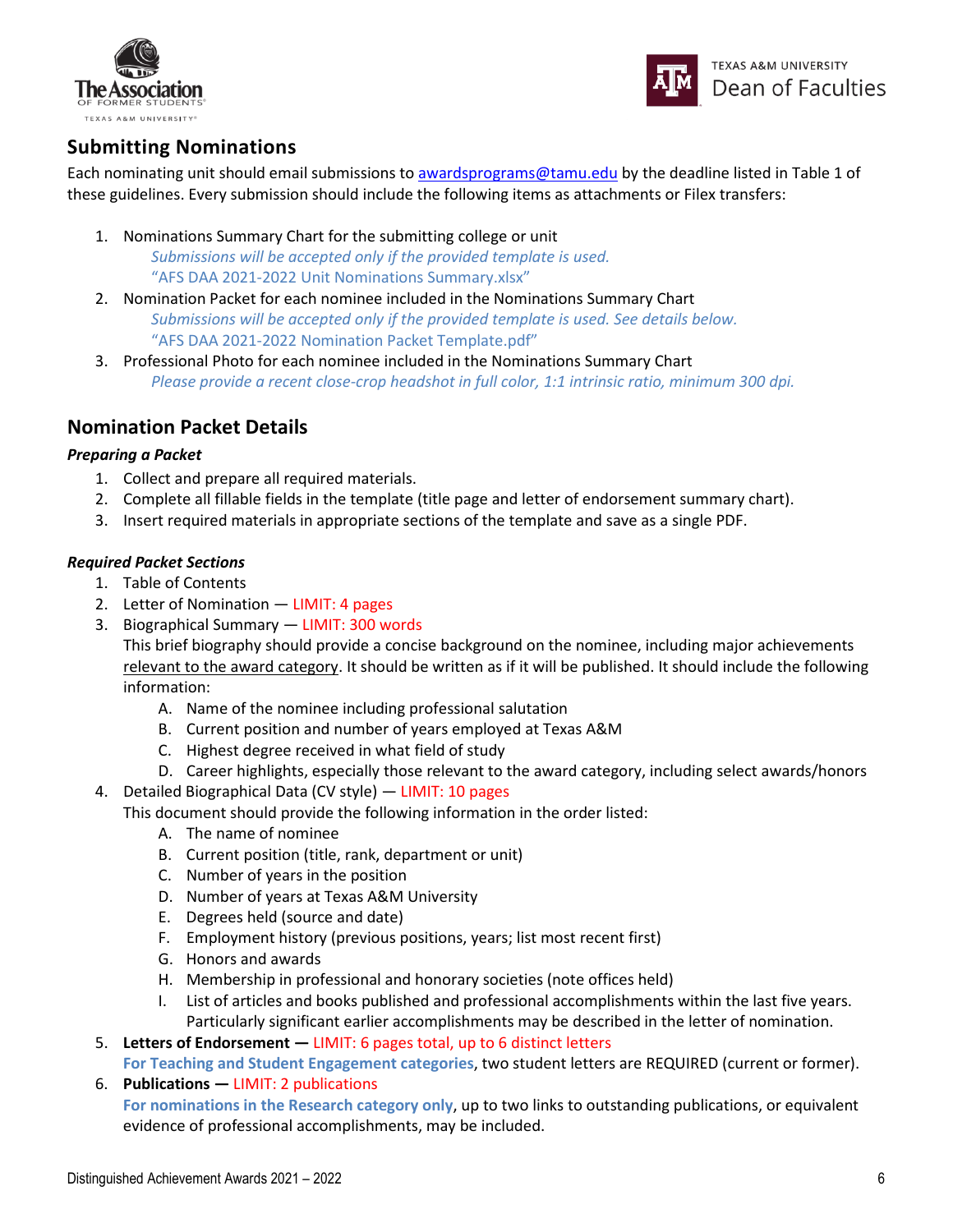



## **Submitting Nominations**

Each nominating unit should email submissions to [awardsprograms@tamu.edu](mailto:awardsprograms@tamu.edu) by the deadline listed in Table 1 of these guidelines. Every submission should include the following items as attachments or Filex transfers:

- 1. Nominations Summary Chart for the submitting college or unit *Submissions will be accepted only if the provided template is used.*  "AFS DAA 2021-2022 Unit Nominations Summary.xlsx"
- 2. Nomination Packet for each nominee included in the Nominations Summary Chart *Submissions will be accepted only if the provided template is used. See details below.* "AFS DAA 2021-2022 Nomination Packet Template.pdf"
- 3. Professional Photo for each nominee included in the Nominations Summary Chart *Please provide a recent close-crop headshot in full color, 1:1 intrinsic ratio, minimum 300 dpi.*

### **Nomination Packet Details**

#### *Preparing a Packet*

- 1. Collect and prepare all required materials.
- 2. Complete all fillable fields in the template (title page and letter of endorsement summary chart).
- 3. Insert required materials in appropriate sections of the template and save as a single PDF.

#### *Required Packet Sections*

- 1. Table of Contents
- 2. Letter of Nomination LIMIT: 4 pages
- 3. Biographical Summary LIMIT: 300 words

This brief biography should provide a concise background on the nominee, including major achievements relevant to the award category. It should be written as if it will be published. It should include the following information:

- A. Name of the nominee including professional salutation
- B. Current position and number of years employed at Texas A&M
- C. Highest degree received in what field of study
- D. Career highlights, especially those relevant to the award category, including select awards/honors
- 4. Detailed Biographical Data (CV style) LIMIT: 10 pages
	- This document should provide the following information in the order listed:
		- A. The name of nominee
		- B. Current position (title, rank, department or unit)
		- C. Number of years in the position
		- D. Number of years at Texas A&M University
		- E. Degrees held (source and date)
		- F. Employment history (previous positions, years; list most recent first)
		- G. Honors and awards
		- H. Membership in professional and honorary societies (note offices held)
		- I. List of articles and books published and professional accomplishments within the last five years. Particularly significant earlier accomplishments may be described in the letter of nomination.
- 5. **Letters of Endorsement —** LIMIT: 6 pages total, up to 6 distinct letters

**For Teaching and Student Engagement categories**, two student letters are REQUIRED (current or former).

6. **Publications —** LIMIT: 2 publications

**For nominations in the Research category only**, up to two links to outstanding publications, or equivalent evidence of professional accomplishments, may be included.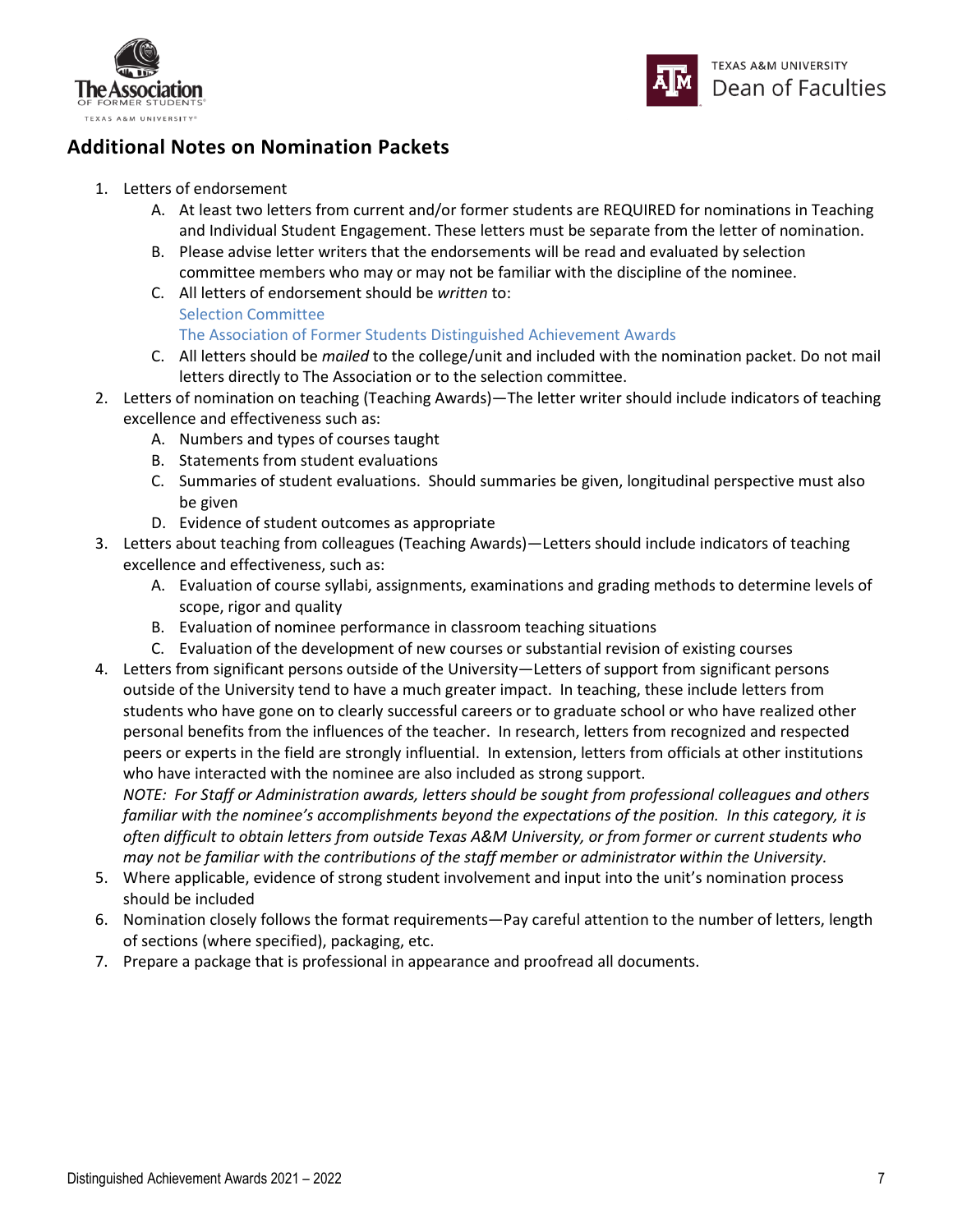



## **Additional Notes on Nomination Packets**

- 1. Letters of endorsement
	- A. At least two letters from current and/or former students are REQUIRED for nominations in Teaching and Individual Student Engagement. These letters must be separate from the letter of nomination.
	- B. Please advise letter writers that the endorsements will be read and evaluated by selection committee members who may or may not be familiar with the discipline of the nominee.
	- C. All letters of endorsement should be *written* to: Selection Committee The Association of Former Students Distinguished Achievement Awards
	- C. All letters should be *mailed* to the college/unit and included with the nomination packet. Do not mail letters directly to The Association or to the selection committee.
- 2. Letters of nomination on teaching (Teaching Awards)—The letter writer should include indicators of teaching excellence and effectiveness such as:
	- A. Numbers and types of courses taught
	- B. Statements from student evaluations
	- C. Summaries of student evaluations. Should summaries be given, longitudinal perspective must also be given
	- D. Evidence of student outcomes as appropriate
- 3. Letters about teaching from colleagues (Teaching Awards)—Letters should include indicators of teaching excellence and effectiveness, such as:
	- A. Evaluation of course syllabi, assignments, examinations and grading methods to determine levels of scope, rigor and quality
	- B. Evaluation of nominee performance in classroom teaching situations
	- C. Evaluation of the development of new courses or substantial revision of existing courses
- 4. Letters from significant persons outside of the University—Letters of support from significant persons outside of the University tend to have a much greater impact. In teaching, these include letters from students who have gone on to clearly successful careers or to graduate school or who have realized other personal benefits from the influences of the teacher. In research, letters from recognized and respected peers or experts in the field are strongly influential. In extension, letters from officials at other institutions who have interacted with the nominee are also included as strong support.

*NOTE: For Staff or Administration awards, letters should be sought from professional colleagues and others familiar with the nominee's accomplishments beyond the expectations of the position. In this category, it is often difficult to obtain letters from outside Texas A&M University, or from former or current students who may not be familiar with the contributions of the staff member or administrator within the University.*

- 5. Where applicable, evidence of strong student involvement and input into the unit's nomination process should be included
- 6. Nomination closely follows the format requirements—Pay careful attention to the number of letters, length of sections (where specified), packaging, etc.
- 7. Prepare a package that is professional in appearance and proofread all documents.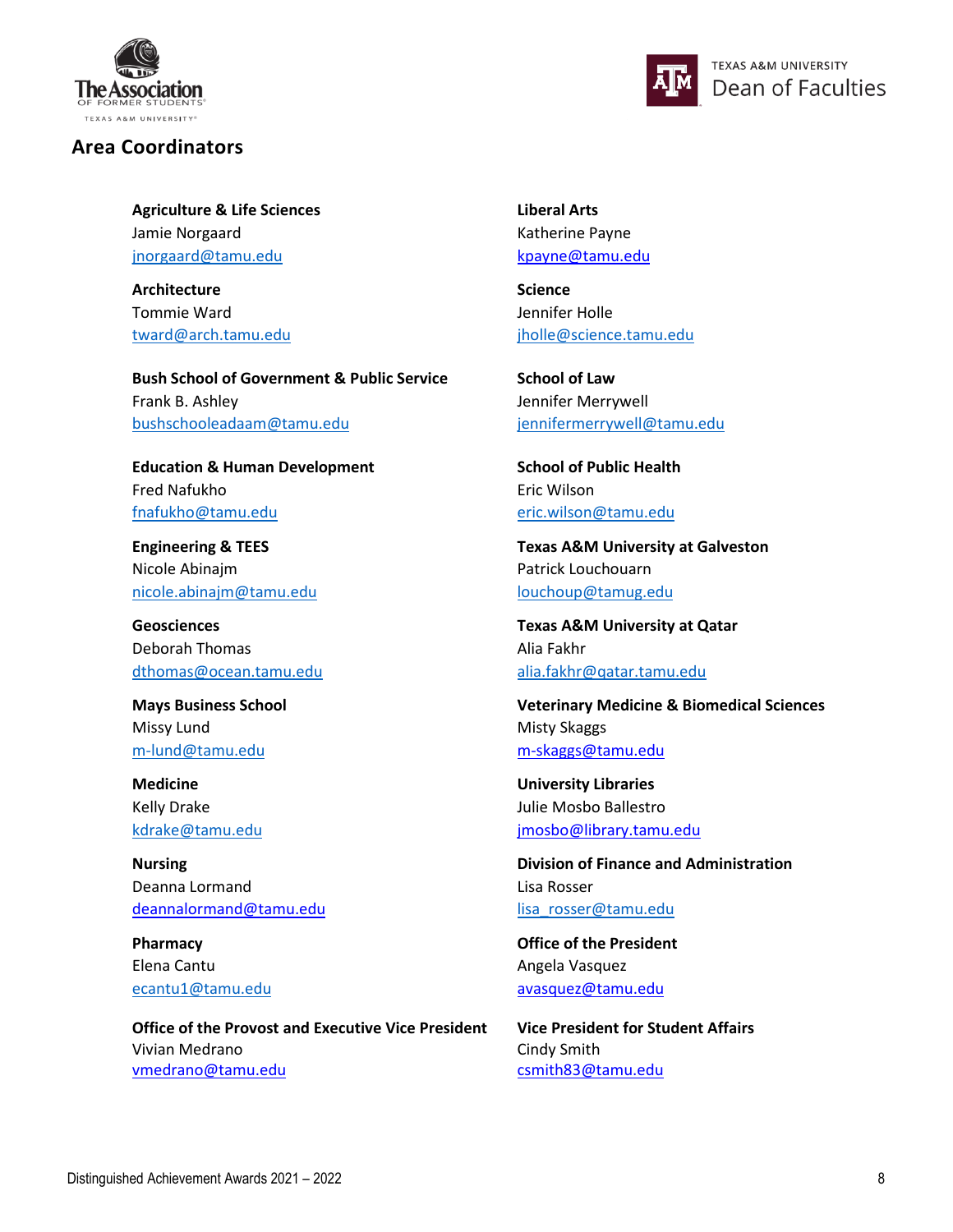

#### **Area Coordinators**



**Agriculture & Life Sciences Liberal Arts** Jamie Norgaard Katherine Payne [jnorgaard@tamu.edu](mailto:jnorgaard@tamu.edu) [kpayne@tamu.edu](mailto:kpayne@tamu.edu)

Architecture *Science* Tommie Ward Jennifer Holle

**Bush School of Government & Public Service School of Law** Frank B. Ashley Jennifer Merrywell [bushschooleadaam@tamu.edu](mailto:bushschooleadaam@tamu.edu) [jennifermerrywell@tamu.edu](mailto:jennifermerrywell@tamu.edu) 

Education & Human Development<br>
School of Public Health Fred Nafukho Eric Wilson [fnafukho@tamu.edu](mailto:fnafukho@tamu.edu) [eric.wilson@tamu.edu](mailto:eric.wilson@tamu.edu)

Nicole Abinajm **Patrick Louchouarn** [nicole.abinajm@tamu.edu](mailto:nicole.abinajm@tamu.edu) [louchoup@tamug.edu](mailto:louchoup@tamug.edu)

Deborah Thomas **Alia Fakhr** Alia Fakhr [dthomas@ocean.tamu.edu](mailto:dthomas@ocean.tamu.edu) [alia.fakhr@qatar.tamu.edu](mailto:alia.fakhr@qatar.tamu.edu)

Missy Lund **Missy Lund Missy Lund** 

Deanna Lormand **Lisa Rosser** Lisa Rosser [deannalormand@tamu.edu](mailto:deannalormand@tamu.edu) [lisa\\_rosser@tamu.edu](mailto:lisa_rosser@tamu.edu)

Elena Cantu **Angela Vasquez Angela Vasquez** 

**Office of the Provost and Executive Vice President** Vivian Medrano [vmedrano@tamu.edu](mailto:vmedrano@tamu.edu)

[tward@arch.tamu.edu](mailto:tward@arch.tamu.edu) [jholle@science.tamu.edu](mailto:jholle@science.tamu.edu)

**Engineering & TEES Texas A&M University at Galveston**

**Geosciences Texas A&M University at Qatar**

**Mays Business School Veterinary Medicine & Biomedical Sciences** [m-lund@tamu.edu](mailto:m-lund@tamu.edu) m-skaggs@tamu.edu

**Medicine University Libraries** Kelly Drake **Julie Mosbo Ballestro** [kdrake@tamu.edu](mailto:kdrake@tamu.edu) [jmosbo@library.tamu.edu](mailto:jmosbo@library.tamu.edu) 

**Nursing Division of Finance and Administration** 

**Pharmacy Contract President** *Contract Contract Contract Contract Contract Contract Contract Contract Contract Contract Contract Contract Contract Contract Contract Contract Contract Contract Contract Contract Contract C* [ecantu1@tamu.edu](mailto:ecantu1@tamu.edu) [avasquez@tamu.edu](mailto:avasquez@tamu.edu)

> **Vice President for Student Affairs** Cindy Smith [csmith83@tamu.edu](mailto:csmith83@tamu.edu)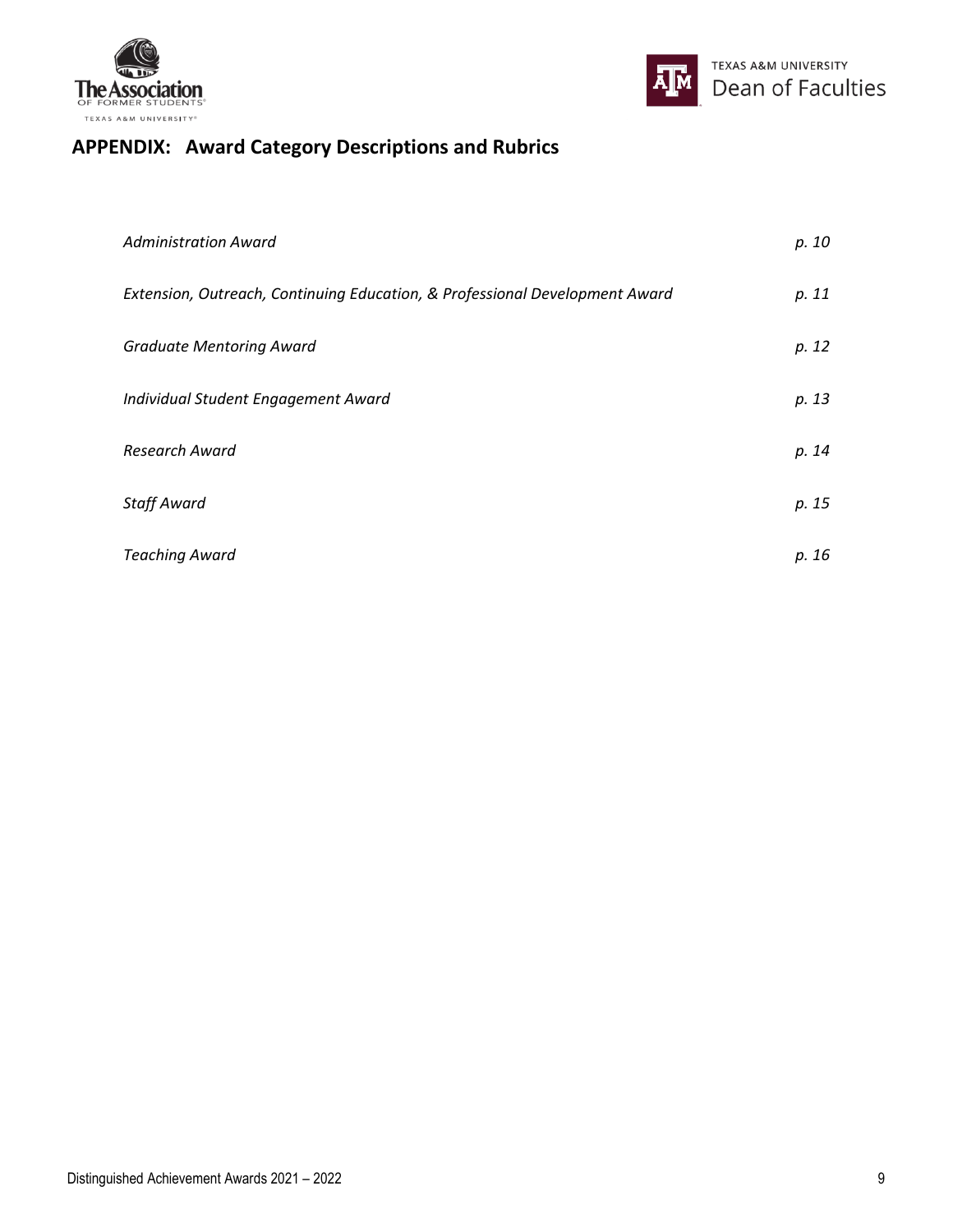



## **APPENDIX: Award Category Descriptions and Rubrics**

| <b>Administration Award</b>                                                 | p. 10 |
|-----------------------------------------------------------------------------|-------|
| Extension, Outreach, Continuing Education, & Professional Development Award | p. 11 |
| <b>Graduate Mentoring Award</b>                                             | p. 12 |
| Individual Student Engagement Award                                         | p. 13 |
| Research Award                                                              | p. 14 |
| <b>Staff Award</b>                                                          | p. 15 |
| <b>Teaching Award</b>                                                       | p. 16 |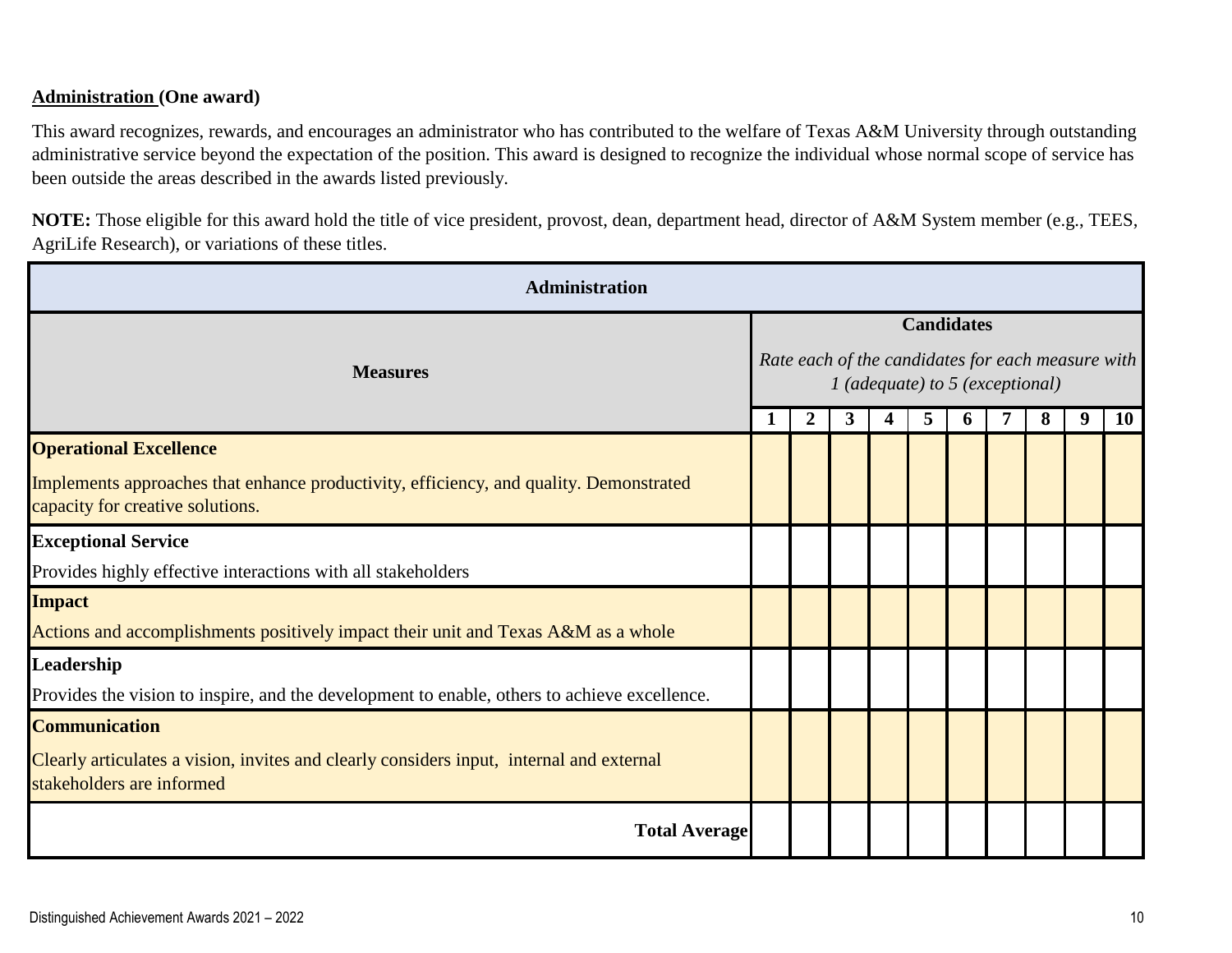#### **Administration (One award)**

This award recognizes, rewards, and encourages an administrator who has contributed to the welfare of Texas A&M University through outstanding administrative service beyond the expectation of the position. This award is designed to recognize the individual whose normal scope of service has been outside the areas described in the awards listed previously.

**NOTE:** Those eligible for this award hold the title of vice president, provost, dean, department head, director of A&M System member (e.g., TEES, AgriLife Research), or variations of these titles.

| Administration                                                                                                             |                                                                                                             |                |   |   |   |   |  |   |   |           |  |  |  |  |  |
|----------------------------------------------------------------------------------------------------------------------------|-------------------------------------------------------------------------------------------------------------|----------------|---|---|---|---|--|---|---|-----------|--|--|--|--|--|
| <b>Measures</b>                                                                                                            | <b>Candidates</b><br>Rate each of the candidates for each measure with<br>$1$ (adequate) to 5 (exceptional) |                |   |   |   |   |  |   |   |           |  |  |  |  |  |
|                                                                                                                            |                                                                                                             | $\overline{2}$ | 3 | 4 | 5 | 6 |  | 8 | 9 | <b>10</b> |  |  |  |  |  |
| <b>Operational Excellence</b>                                                                                              |                                                                                                             |                |   |   |   |   |  |   |   |           |  |  |  |  |  |
| Implements approaches that enhance productivity, efficiency, and quality. Demonstrated<br>capacity for creative solutions. |                                                                                                             |                |   |   |   |   |  |   |   |           |  |  |  |  |  |
| <b>Exceptional Service</b>                                                                                                 |                                                                                                             |                |   |   |   |   |  |   |   |           |  |  |  |  |  |
| Provides highly effective interactions with all stakeholders                                                               |                                                                                                             |                |   |   |   |   |  |   |   |           |  |  |  |  |  |
| <b>Impact</b>                                                                                                              |                                                                                                             |                |   |   |   |   |  |   |   |           |  |  |  |  |  |
| Actions and accomplishments positively impact their unit and Texas A&M as a whole                                          |                                                                                                             |                |   |   |   |   |  |   |   |           |  |  |  |  |  |
| Leadership                                                                                                                 |                                                                                                             |                |   |   |   |   |  |   |   |           |  |  |  |  |  |
| Provides the vision to inspire, and the development to enable, others to achieve excellence.                               |                                                                                                             |                |   |   |   |   |  |   |   |           |  |  |  |  |  |
| <b>Communication</b>                                                                                                       |                                                                                                             |                |   |   |   |   |  |   |   |           |  |  |  |  |  |
| Clearly articulates a vision, invites and clearly considers input, internal and external<br>stakeholders are informed      |                                                                                                             |                |   |   |   |   |  |   |   |           |  |  |  |  |  |
| <b>Total Average</b>                                                                                                       |                                                                                                             |                |   |   |   |   |  |   |   |           |  |  |  |  |  |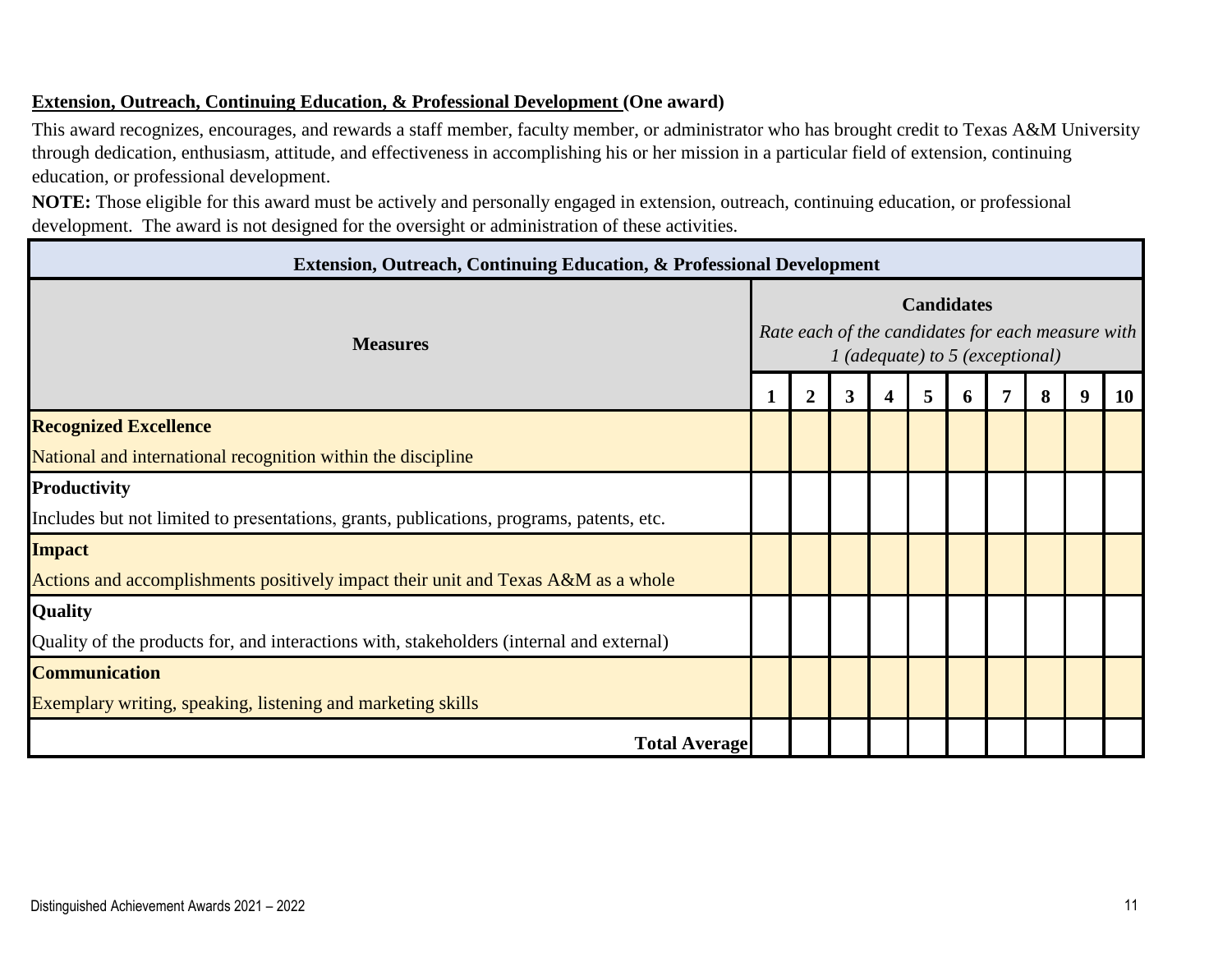#### **Extension, Outreach, Continuing Education, & Professional Development (One award)**

This award recognizes, encourages, and rewards a staff member, faculty member, or administrator who has brought credit to Texas A&M University through dedication, enthusiasm, attitude, and effectiveness in accomplishing his or her mission in a particular field of extension, continuing education, or professional development.

**NOTE:** Those eligible for this award must be actively and personally engaged in extension, outreach, continuing education, or professional development. The award is not designed for the oversight or administration of these activities.

| <b>Extension, Outreach, Continuing Education, &amp; Professional Development</b>         |  |                                                                                                             |   |   |   |    |  |   |   |           |  |  |  |  |  |  |
|------------------------------------------------------------------------------------------|--|-------------------------------------------------------------------------------------------------------------|---|---|---|----|--|---|---|-----------|--|--|--|--|--|--|
| <b>Measures</b>                                                                          |  | <b>Candidates</b><br>Rate each of the candidates for each measure with<br>$1$ (adequate) to 5 (exceptional) |   |   |   |    |  |   |   |           |  |  |  |  |  |  |
|                                                                                          |  | $\overline{2}$                                                                                              | 3 | 4 | 5 | O. |  | 8 | 9 | <b>10</b> |  |  |  |  |  |  |
| <b>Recognized Excellence</b>                                                             |  |                                                                                                             |   |   |   |    |  |   |   |           |  |  |  |  |  |  |
| National and international recognition within the discipline                             |  |                                                                                                             |   |   |   |    |  |   |   |           |  |  |  |  |  |  |
| <b>Productivity</b>                                                                      |  |                                                                                                             |   |   |   |    |  |   |   |           |  |  |  |  |  |  |
| Includes but not limited to presentations, grants, publications, programs, patents, etc. |  |                                                                                                             |   |   |   |    |  |   |   |           |  |  |  |  |  |  |
| <b>Impact</b>                                                                            |  |                                                                                                             |   |   |   |    |  |   |   |           |  |  |  |  |  |  |
| Actions and accomplishments positively impact their unit and Texas A&M as a whole        |  |                                                                                                             |   |   |   |    |  |   |   |           |  |  |  |  |  |  |
| <b>Quality</b>                                                                           |  |                                                                                                             |   |   |   |    |  |   |   |           |  |  |  |  |  |  |
| Quality of the products for, and interactions with, stakeholders (internal and external) |  |                                                                                                             |   |   |   |    |  |   |   |           |  |  |  |  |  |  |
| <b>Communication</b>                                                                     |  |                                                                                                             |   |   |   |    |  |   |   |           |  |  |  |  |  |  |
| Exemplary writing, speaking, listening and marketing skills                              |  |                                                                                                             |   |   |   |    |  |   |   |           |  |  |  |  |  |  |
| <b>Total Average</b>                                                                     |  |                                                                                                             |   |   |   |    |  |   |   |           |  |  |  |  |  |  |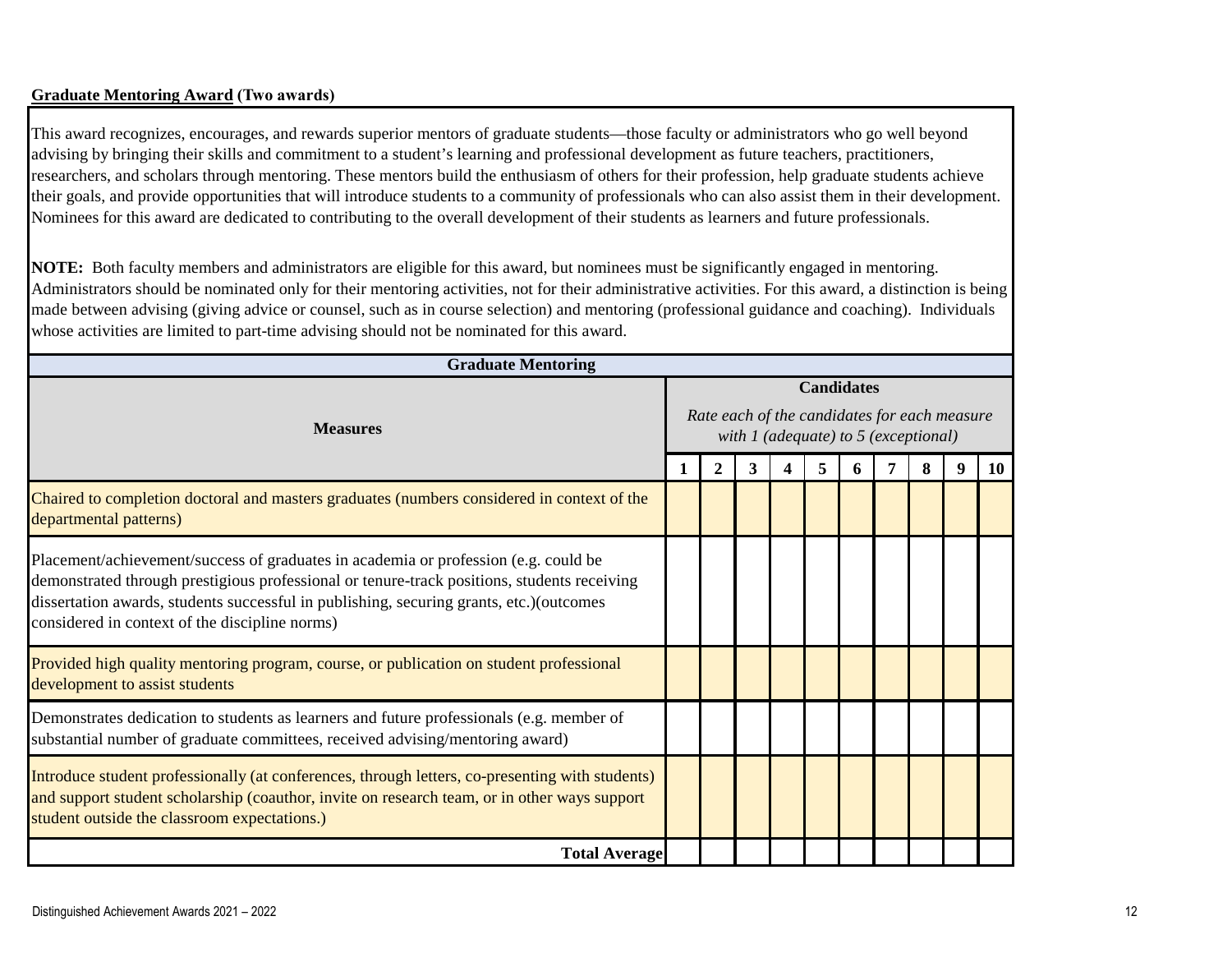#### **Graduate Mentoring Award (Two awards)**

This award recognizes, encourages, and rewards superior mentors of graduate students—those faculty or administrators who go well beyond advising by bringing their skills and commitment to a student's learning and professional development as future teachers, practitioners, researchers, and scholars through mentoring. These mentors build the enthusiasm of others for their profession, help graduate students achieve their goals, and provide opportunities that will introduce students to a community of professionals who can also assist them in their development. Nominees for this award are dedicated to contributing to the overall development of their students as learners and future professionals.

**NOTE:** Both faculty members and administrators are eligible for this award, but nominees must be significantly engaged in mentoring. Administrators should be nominated only for their mentoring activities, not for their administrative activities. For this award, a distinction is being made between advising (giving advice or counsel, such as in course selection) and mentoring (professional guidance and coaching). Individuals whose activities are limited to part-time advising should not be nominated for this award.

| <b>Graduate Mentoring</b>                                                                                                                                                                                                                                                                                                        |  |   |   |                   |                                          |                                              |           |
|----------------------------------------------------------------------------------------------------------------------------------------------------------------------------------------------------------------------------------------------------------------------------------------------------------------------------------|--|---|---|-------------------|------------------------------------------|----------------------------------------------|-----------|
| <b>Measures</b>                                                                                                                                                                                                                                                                                                                  |  |   |   | <b>Candidates</b> | with $1$ (adequate) to $5$ (exceptional) | Rate each of the candidates for each measure |           |
|                                                                                                                                                                                                                                                                                                                                  |  | 3 | 4 |                   |                                          | 9                                            | <b>10</b> |
| Chaired to completion doctoral and masters graduates (numbers considered in context of the<br>departmental patterns)                                                                                                                                                                                                             |  |   |   |                   |                                          |                                              |           |
| Placement/achievement/success of graduates in academia or profession (e.g. could be<br>demonstrated through prestigious professional or tenure-track positions, students receiving<br>dissertation awards, students successful in publishing, securing grants, etc.) (outcomes<br>considered in context of the discipline norms) |  |   |   |                   |                                          |                                              |           |
| Provided high quality mentoring program, course, or publication on student professional<br>development to assist students                                                                                                                                                                                                        |  |   |   |                   |                                          |                                              |           |
| Demonstrates dedication to students as learners and future professionals (e.g. member of<br>substantial number of graduate committees, received advising/mentoring award)                                                                                                                                                        |  |   |   |                   |                                          |                                              |           |
| Introduce student professionally (at conferences, through letters, co-presenting with students)<br>and support student scholarship (coauthor, invite on research team, or in other ways support<br>student outside the classroom expectations.)                                                                                  |  |   |   |                   |                                          |                                              |           |
| <b>Total Average</b>                                                                                                                                                                                                                                                                                                             |  |   |   |                   |                                          |                                              |           |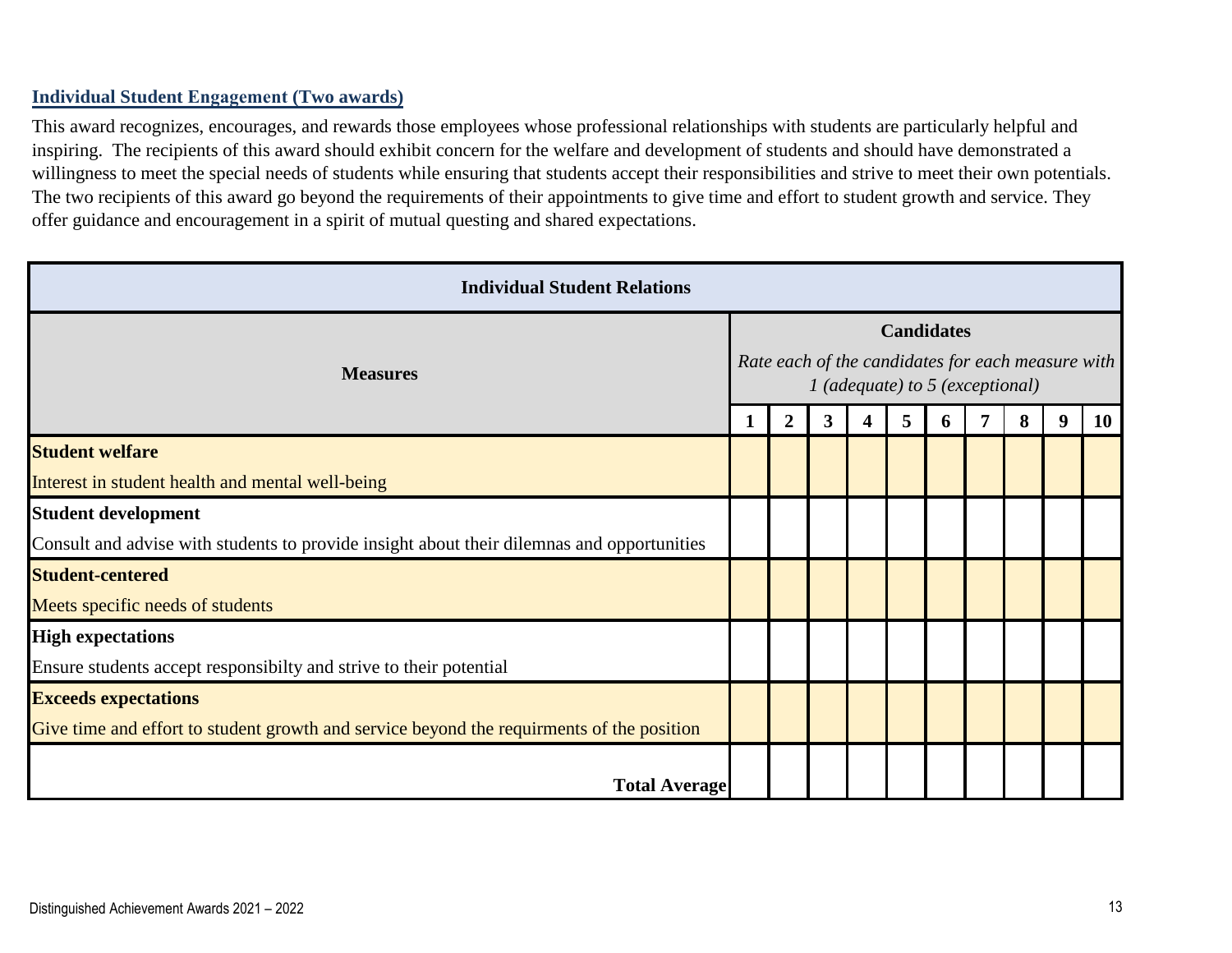#### **Individual Student Engagement (Two awards)**

This award recognizes, encourages, and rewards those employees whose professional relationships with students are particularly helpful and inspiring. The recipients of this award should exhibit concern for the welfare and development of students and should have demonstrated a willingness to meet the special needs of students while ensuring that students accept their responsibilities and strive to meet their own potentials. The two recipients of this award go beyond the requirements of their appointments to give time and effort to student growth and service. They offer guidance and encouragement in a spirit of mutual questing and shared expectations.

| <b>Individual Student Relations</b>                                                        |  |                                                                                                             |   |   |   |   |   |   |   |           |  |  |  |  |  |  |
|--------------------------------------------------------------------------------------------|--|-------------------------------------------------------------------------------------------------------------|---|---|---|---|---|---|---|-----------|--|--|--|--|--|--|
| <b>Measures</b>                                                                            |  | <b>Candidates</b><br>Rate each of the candidates for each measure with<br>$1$ (adequate) to 5 (exceptional) |   |   |   |   |   |   |   |           |  |  |  |  |  |  |
|                                                                                            |  | $\overline{2}$                                                                                              | 3 | 4 | 5 | O | 7 | 8 | 9 | <b>10</b> |  |  |  |  |  |  |
| <b>Student welfare</b>                                                                     |  |                                                                                                             |   |   |   |   |   |   |   |           |  |  |  |  |  |  |
| Interest in student health and mental well-being                                           |  |                                                                                                             |   |   |   |   |   |   |   |           |  |  |  |  |  |  |
| <b>Student development</b>                                                                 |  |                                                                                                             |   |   |   |   |   |   |   |           |  |  |  |  |  |  |
| Consult and advise with students to provide insight about their dilemnas and opportunities |  |                                                                                                             |   |   |   |   |   |   |   |           |  |  |  |  |  |  |
| <b>Student-centered</b>                                                                    |  |                                                                                                             |   |   |   |   |   |   |   |           |  |  |  |  |  |  |
| Meets specific needs of students                                                           |  |                                                                                                             |   |   |   |   |   |   |   |           |  |  |  |  |  |  |
| <b>High expectations</b>                                                                   |  |                                                                                                             |   |   |   |   |   |   |   |           |  |  |  |  |  |  |
| Ensure students accept responsibilty and strive to their potential                         |  |                                                                                                             |   |   |   |   |   |   |   |           |  |  |  |  |  |  |
| <b>Exceeds expectations</b>                                                                |  |                                                                                                             |   |   |   |   |   |   |   |           |  |  |  |  |  |  |
| Give time and effort to student growth and service beyond the requirments of the position  |  |                                                                                                             |   |   |   |   |   |   |   |           |  |  |  |  |  |  |
| <b>Total Average</b>                                                                       |  |                                                                                                             |   |   |   |   |   |   |   |           |  |  |  |  |  |  |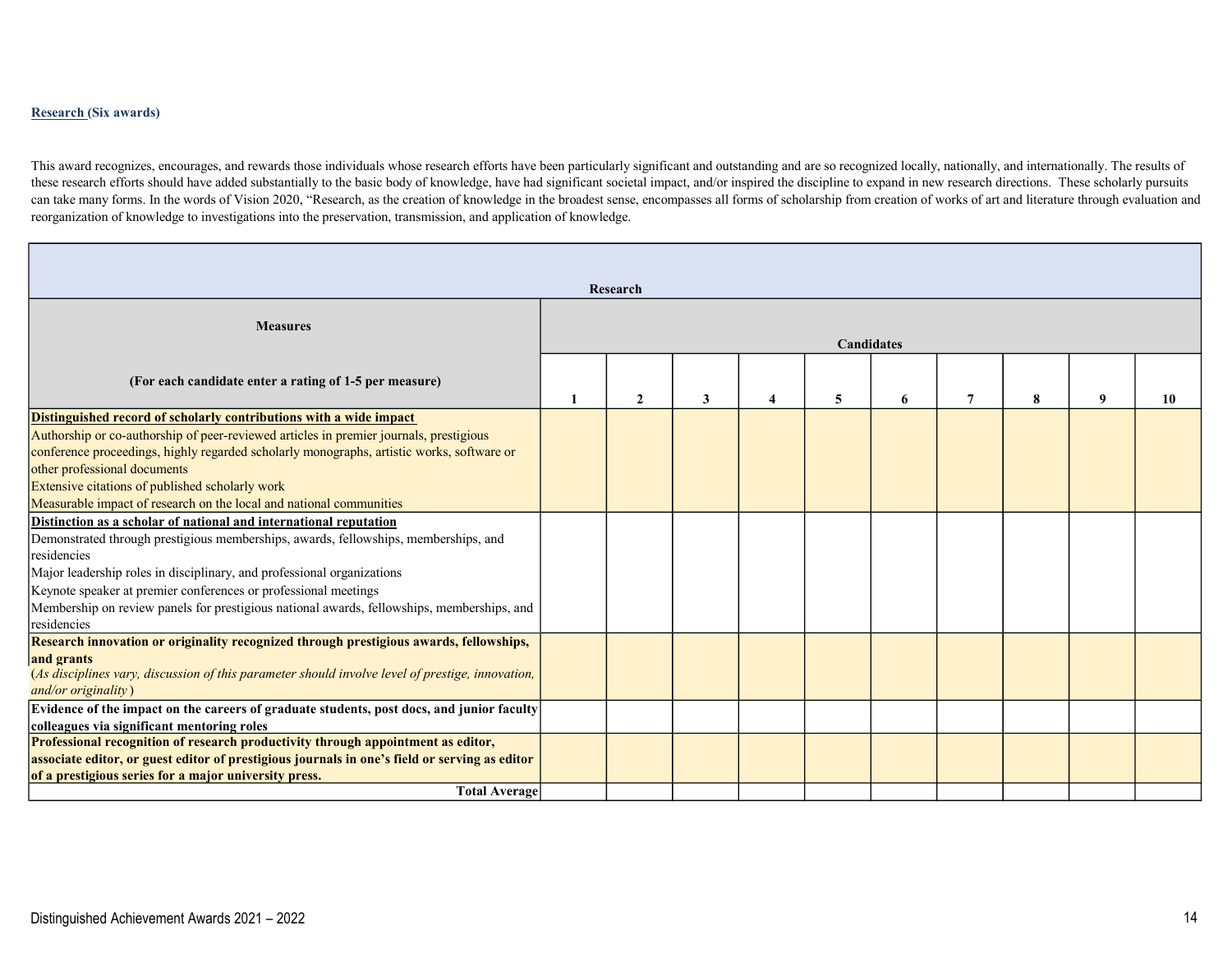#### Research (Six awards)

This award recognizes, encourages, and rewards those individuals whose research efforts have been particularly significant and outstanding and are so recognized locally, nationally, and internationally. The results of these research efforts should have added substantially to the basic body of knowledge, have had significant societal impact, and/or inspired the discipline to expand in new research directions. These scholarly pursuits can take many forms. In the words of Vision 2020, "Research, as the creation of knowledge in the broadest sense, encompasses all forms of scholarship from creation of works of art and literature through evaluation and reorganization of knowledge to investigations into the preservation, transmission, and application of knowledge.

|                                                                                                                                                                                                                                                                                                                                                                                                                                   | Research |   |   |   |                   |   |   |   |    |
|-----------------------------------------------------------------------------------------------------------------------------------------------------------------------------------------------------------------------------------------------------------------------------------------------------------------------------------------------------------------------------------------------------------------------------------|----------|---|---|---|-------------------|---|---|---|----|
| <b>Measures</b>                                                                                                                                                                                                                                                                                                                                                                                                                   |          |   |   |   | <b>Candidates</b> |   |   |   |    |
| (For each candidate enter a rating of 1-5 per measure)                                                                                                                                                                                                                                                                                                                                                                            | 2        | 3 | Δ | 5 | 6                 | 7 | 8 | 9 | 10 |
| Distinguished record of scholarly contributions with a wide impact<br>Authorship or co-authorship of peer-reviewed articles in premier journals, prestigious<br>conference proceedings, highly regarded scholarly monographs, artistic works, software or<br>other professional documents<br>Extensive citations of published scholarly work<br>Measurable impact of research on the local and national communities               |          |   |   |   |                   |   |   |   |    |
| Distinction as a scholar of national and international reputation<br>Demonstrated through prestigious memberships, awards, fellowships, memberships, and<br>residencies<br>Major leadership roles in disciplinary, and professional organizations<br>Keynote speaker at premier conferences or professional meetings<br>Membership on review panels for prestigious national awards, fellowships, memberships, and<br>residencies |          |   |   |   |                   |   |   |   |    |
| Research innovation or originality recognized through prestigious awards, fellowships,<br>and grants<br>(As disciplines vary, discussion of this parameter should involve level of prestige, innovation,<br>$and/or$ originality                                                                                                                                                                                                  |          |   |   |   |                   |   |   |   |    |
| Evidence of the impact on the careers of graduate students, post docs, and junior faculty<br>colleagues via significant mentoring roles<br>Professional recognition of research productivity through appointment as editor,<br>associate editor, or guest editor of prestigious journals in one's field or serving as editor                                                                                                      |          |   |   |   |                   |   |   |   |    |
| of a prestigious series for a major university press.<br><b>Total Average</b>                                                                                                                                                                                                                                                                                                                                                     |          |   |   |   |                   |   |   |   |    |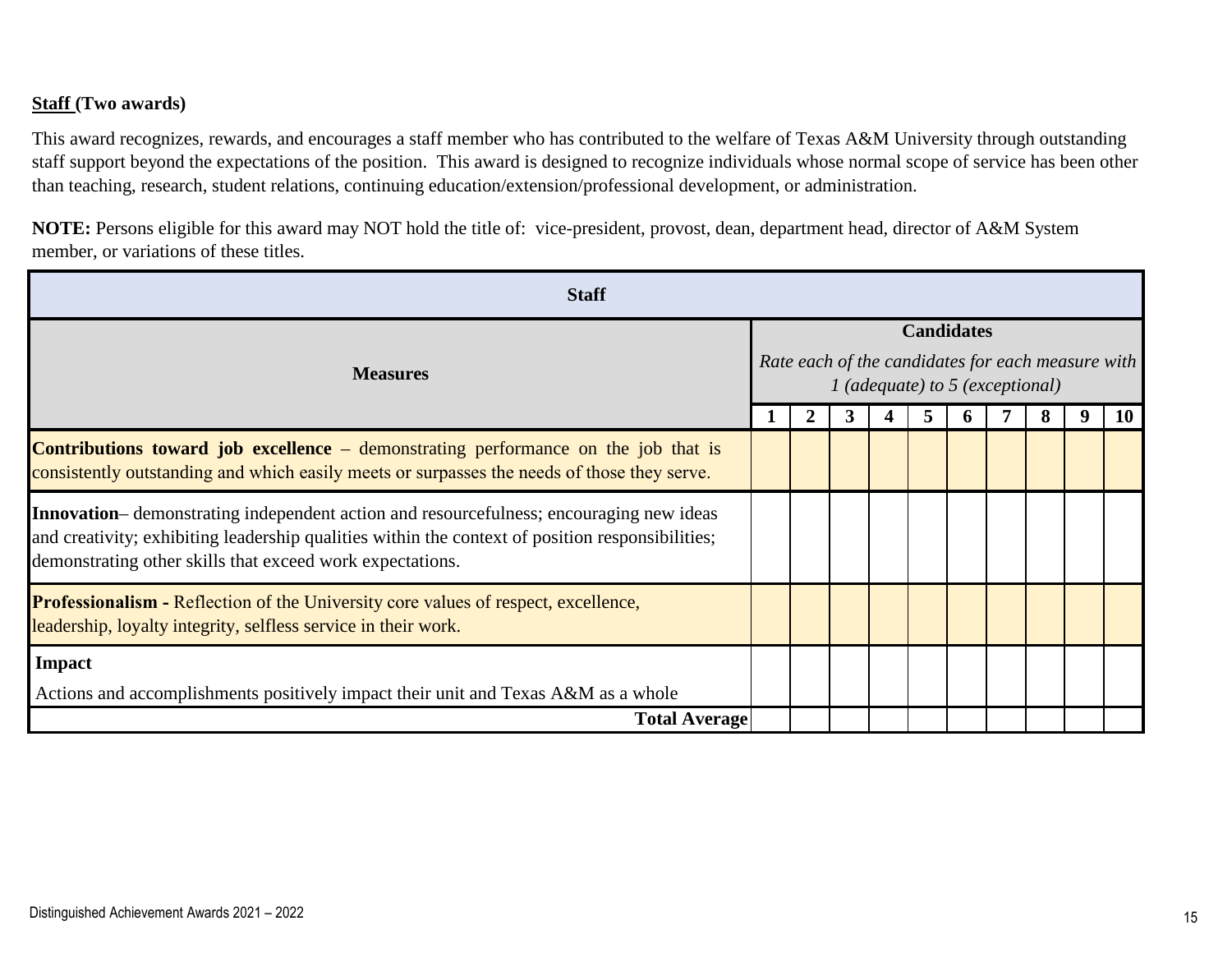#### **Staff (Two awards)**

This award recognizes, rewards, and encourages a staff member who has contributed to the welfare of Texas A&M University through outstanding staff support beyond the expectations of the position. This award is designed to recognize individuals whose normal scope of service has been other than teaching, research, student relations, continuing education/extension/professional development, or administration.

**NOTE:** Persons eligible for this award may NOT hold the title of: vice-president, provost, dean, department head, director of A&M System member, or variations of these titles.

| <b>Staff</b>                                                                                                                                                                                                                                                     |  |  |  |  |  |  |  |  |  |    |
|------------------------------------------------------------------------------------------------------------------------------------------------------------------------------------------------------------------------------------------------------------------|--|--|--|--|--|--|--|--|--|----|
|                                                                                                                                                                                                                                                                  |  |  |  |  |  |  |  |  |  |    |
| <b>Candidates</b><br>Rate each of the candidates for each measure with<br><b>Measures</b><br>1 (adequate) to 5 (exceptional)<br><b>Total Average</b>                                                                                                             |  |  |  |  |  |  |  |  |  |    |
|                                                                                                                                                                                                                                                                  |  |  |  |  |  |  |  |  |  | 10 |
| <b>Contributions toward job excellence</b> – demonstrating performance on the job that is<br>consistently outstanding and which easily meets or surpasses the needs of those they serve.                                                                         |  |  |  |  |  |  |  |  |  |    |
| <b>Innovation</b> — demonstrating independent action and resourcefulness; encouraging new ideas<br>and creativity; exhibiting leadership qualities within the context of position responsibilities;<br>demonstrating other skills that exceed work expectations. |  |  |  |  |  |  |  |  |  |    |
| <b>Professionalism - Reflection of the University core values of respect, excellence,</b><br>leadership, loyalty integrity, selfless service in their work.                                                                                                      |  |  |  |  |  |  |  |  |  |    |
| <b>Impact</b>                                                                                                                                                                                                                                                    |  |  |  |  |  |  |  |  |  |    |
| Actions and accomplishments positively impact their unit and Texas A&M as a whole                                                                                                                                                                                |  |  |  |  |  |  |  |  |  |    |
|                                                                                                                                                                                                                                                                  |  |  |  |  |  |  |  |  |  |    |